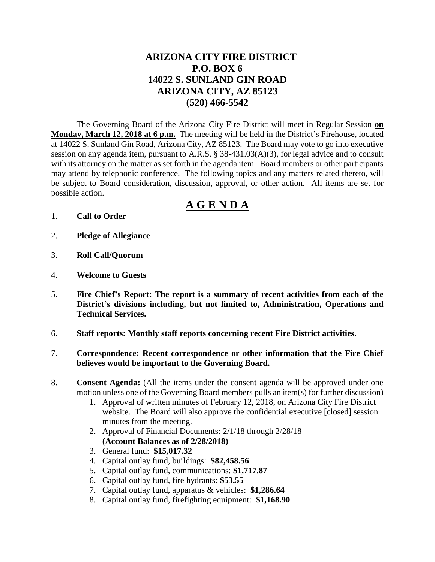# **ARIZONA CITY FIRE DISTRICT P.O. BOX 6 14022 S. SUNLAND GIN ROAD ARIZONA CITY, AZ 85123 (520) 466-5542**

The Governing Board of the Arizona City Fire District will meet in Regular Session **on Monday, March 12, 2018 at 6 p.m.** The meeting will be held in the District's Firehouse, located at 14022 S. Sunland Gin Road, Arizona City, AZ 85123. The Board may vote to go into executive session on any agenda item, pursuant to A.R.S. § 38-431.03(A)(3), for legal advice and to consult with its attorney on the matter as set forth in the agenda item. Board members or other participants may attend by telephonic conference. The following topics and any matters related thereto, will be subject to Board consideration, discussion, approval, or other action. All items are set for possible action.

# **A G E N D A**

- 1. **Call to Order**
- 2. **Pledge of Allegiance**
- 3. **Roll Call/Quorum**
- 4. **Welcome to Guests**
- 5. **Fire Chief's Report: The report is a summary of recent activities from each of the District's divisions including, but not limited to, Administration, Operations and Technical Services.**
- 6. **Staff reports: Monthly staff reports concerning recent Fire District activities.**
- 7. **Correspondence: Recent correspondence or other information that the Fire Chief believes would be important to the Governing Board.**
- 8. **Consent Agenda:** (All the items under the consent agenda will be approved under one motion unless one of the Governing Board members pulls an item(s) for further discussion)
	- 1. Approval of written minutes of February 12, 2018, on Arizona City Fire District website. The Board will also approve the confidential executive [closed] session minutes from the meeting.
	- 2. Approval of Financial Documents: 2/1/18 through 2/28/18 **(Account Balances as of 2/28/2018)**
	- 3. General fund: **\$15,017.32**
	- 4. Capital outlay fund, buildings: **\$82,458.56**
	- 5. Capital outlay fund, communications: **\$1,717.87**
	- 6. Capital outlay fund, fire hydrants: **\$53.55**
	- 7. Capital outlay fund, apparatus & vehicles: **\$1,286.64**
	- 8. Capital outlay fund, firefighting equipment: **\$1,168.90**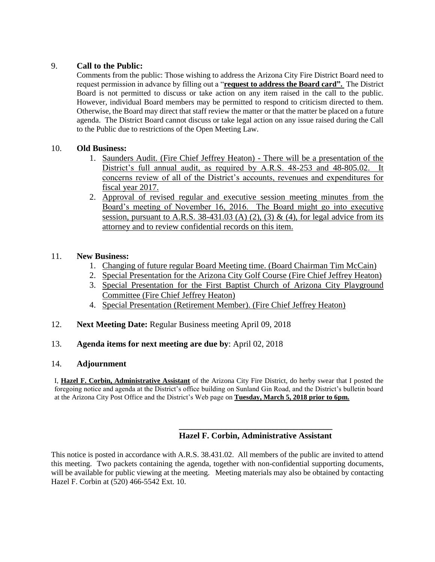# 9. **Call to the Public:**

Comments from the public: Those wishing to address the Arizona City Fire District Board need to request permission in advance by filling out a "**request to address the Board card".** The District Board is not permitted to discuss or take action on any item raised in the call to the public. However, individual Board members may be permitted to respond to criticism directed to them. Otherwise, the Board may direct that staff review the matter or that the matter be placed on a future agenda. The District Board cannot discuss or take legal action on any issue raised during the Call to the Public due to restrictions of the Open Meeting Law.

## 10. **Old Business:**

- 1. Saunders Audit. (Fire Chief Jeffrey Heaton) There will be a presentation of the District's full annual audit, as required by A.R.S. 48-253 and 48-805.02. It concerns review of all of the District's accounts, revenues and expenditures for fiscal year 2017.
- 2. Approval of revised regular and executive session meeting minutes from the Board's meeting of November 16, 2016. The Board might go into executive session, pursuant to A.R.S. 38-431.03 (A) (2), (3) & (4), for legal advice from its attorney and to review confidential records on this item.

# 11. **New Business:**

- 1. Changing of future regular Board Meeting time. (Board Chairman Tim McCain)
- 2. Special Presentation for the Arizona City Golf Course (Fire Chief Jeffrey Heaton)
- 3. Special Presentation for the First Baptist Church of Arizona City Playground Committee (Fire Chief Jeffrey Heaton)
- 4. Special Presentation (Retirement Member). (Fire Chief Jeffrey Heaton)
- 12. **Next Meeting Date:** Regular Business meeting April 09, 2018

## 13. **Agenda items for next meeting are due by**: April 02, 2018

## 14. **Adjournment**

I, **Hazel F. Corbin, Administrative Assistant** of the Arizona City Fire District, do herby swear that I posted the foregoing notice and agenda at the District's office building on Sunland Gin Road, and the District's bulletin board at the Arizona City Post Office and the District's Web page on **Tuesday, March 5, 2018 prior to 6pm.**

#### **\_\_\_\_\_\_\_\_\_\_\_\_\_\_\_\_\_\_\_\_\_\_\_\_\_\_\_\_\_\_\_\_\_\_\_\_ Hazel F. Corbin, Administrative Assistant**

This notice is posted in accordance with A.R.S. 38.431.02. All members of the public are invited to attend this meeting. Two packets containing the agenda, together with non-confidential supporting documents, will be available for public viewing at the meeting. Meeting materials may also be obtained by contacting Hazel F. Corbin at (520) 466-5542 Ext. 10.